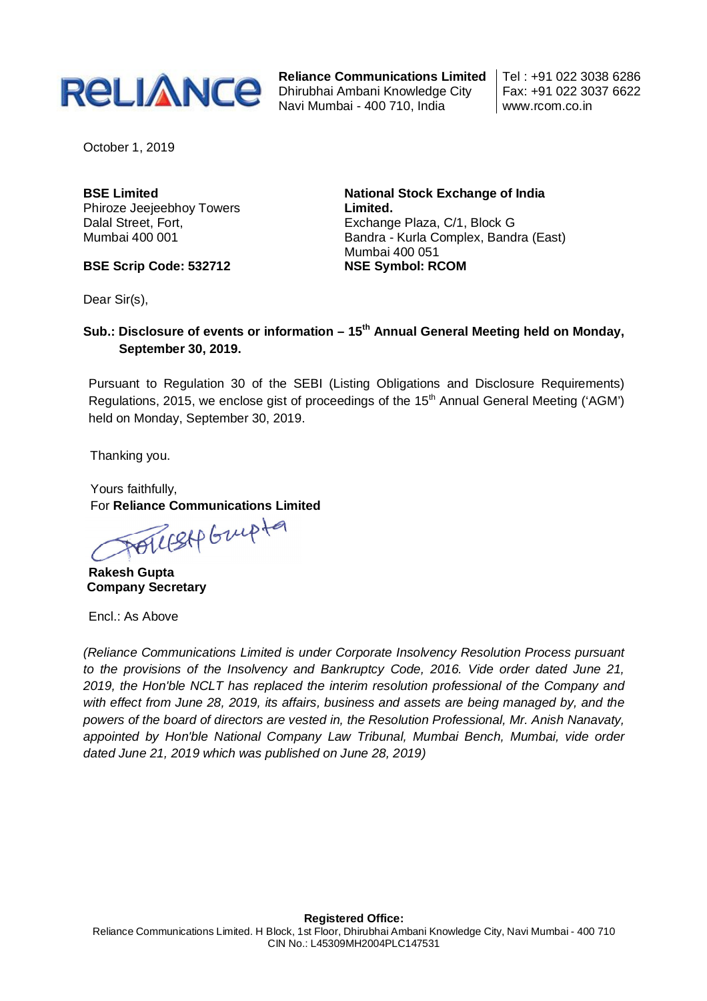

**Reliance Communications Limited** Dhirubhai Ambani Knowledge City Navi Mumbai - 400 710, India

Tel : +91 022 3038 6286 Fax: +91 022 3037 6622 www.rcom.co.in

October 1, 2019

**BSE Limited** Phiroze Jeejeebhoy Towers Dalal Street, Fort, Mumbai 400 001

**BSE Scrip Code: 532712**

**National Stock Exchange of India Limited.** Exchange Plaza, C/1, Block G Bandra - Kurla Complex, Bandra (East) Mumbai 400 051 **NSE Symbol: RCOM**

Dear Sir(s),

# **Sub.: Disclosure of events or information – 15th Annual General Meeting held on Monday, September 30, 2019.**

Pursuant to Regulation 30 of the SEBI (Listing Obligations and Disclosure Requirements) Regulations, 2015, we enclose gist of proceedings of the 15<sup>th</sup> Annual General Meeting ('AGM') held on Monday, September 30, 2019.

Thanking you.

Yours faithfully,

For Reliance Communications Limited<br>
OULSAP GULP <sup>tel</sup>

**Rakesh Gupta Company Secretary** 

Encl.: As Above

*(Reliance Communications Limited is under Corporate Insolvency Resolution Process pursuant to the provisions of the Insolvency and Bankruptcy Code, 2016. Vide order dated June 21, 2019, the Hon'ble NCLT has replaced the interim resolution professional of the Company and with effect from June 28, 2019, its affairs, business and assets are being managed by, and the powers of the board of directors are vested in, the Resolution Professional, Mr. Anish Nanavaty, appointed by Hon'ble National Company Law Tribunal, Mumbai Bench, Mumbai, vide order dated June 21, 2019 which was published on June 28, 2019)*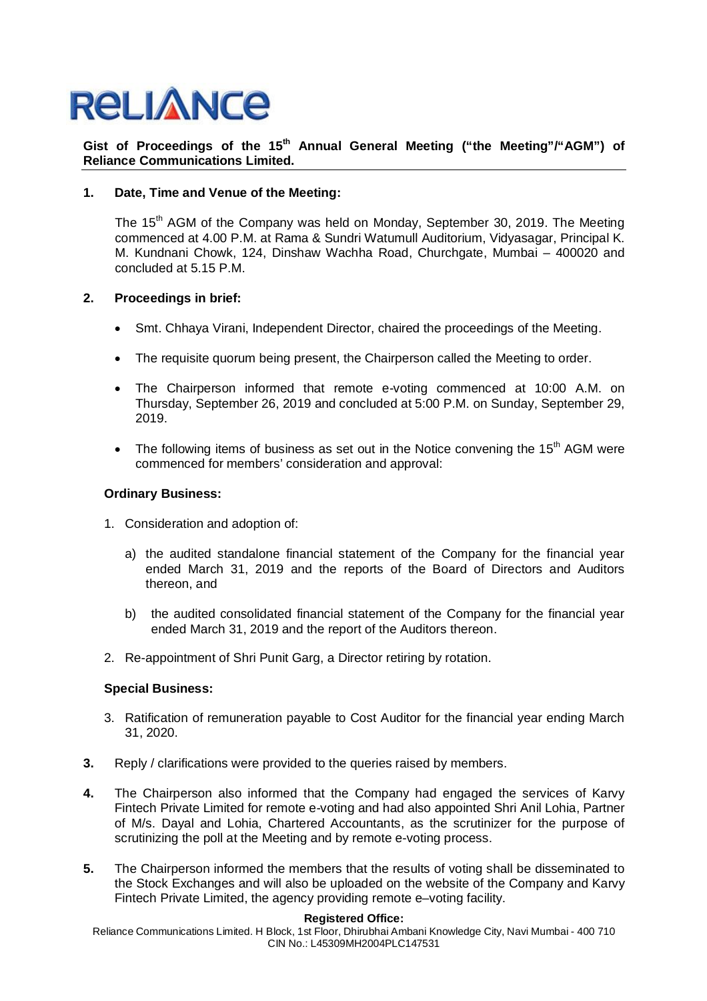# **RELIANCE**

### **Gist of Proceedings of the 15th Annual General Meeting ("the Meeting"/"AGM") of Reliance Communications Limited.**

## **1. Date, Time and Venue of the Meeting:**

The 15<sup>th</sup> AGM of the Company was held on Monday, September 30, 2019. The Meeting commenced at 4.00 P.M. at Rama & Sundri Watumull Auditorium, Vidyasagar, Principal K. M. Kundnani Chowk, 124, Dinshaw Wachha Road, Churchgate, Mumbai – 400020 and concluded at 5.15 P.M.

#### **2. Proceedings in brief:**

- Smt. Chhaya Virani, Independent Director, chaired the proceedings of the Meeting.
- The requisite quorum being present, the Chairperson called the Meeting to order.
- The Chairperson informed that remote e-voting commenced at 10:00 A.M. on Thursday, September 26, 2019 and concluded at 5:00 P.M. on Sunday, September 29, 2019.
- The following items of business as set out in the Notice convening the 15<sup>th</sup> AGM were commenced for members' consideration and approval:

#### **Ordinary Business:**

- 1. Consideration and adoption of:
	- a) the audited standalone financial statement of the Company for the financial year ended March 31, 2019 and the reports of the Board of Directors and Auditors thereon, and
	- b) the audited consolidated financial statement of the Company for the financial year ended March 31, 2019 and the report of the Auditors thereon.
- 2. Re-appointment of Shri Punit Garg, a Director retiring by rotation.

#### **Special Business:**

- 3. Ratification of remuneration payable to Cost Auditor for the financial year ending March 31, 2020.
- **3.** Reply / clarifications were provided to the queries raised by members.
- **4.** The Chairperson also informed that the Company had engaged the services of Karvy Fintech Private Limited for remote e-voting and had also appointed Shri Anil Lohia, Partner of M/s. Dayal and Lohia, Chartered Accountants, as the scrutinizer for the purpose of scrutinizing the poll at the Meeting and by remote e-voting process.
- **5.** The Chairperson informed the members that the results of voting shall be disseminated to the Stock Exchanges and will also be uploaded on the website of the Company and Karvy Fintech Private Limited, the agency providing remote e–voting facility.

#### **Registered Office:**

Reliance Communications Limited. H Block, 1st Floor, Dhirubhai Ambani Knowledge City, Navi Mumbai - 400 710 CIN No.: L45309MH2004PLC147531